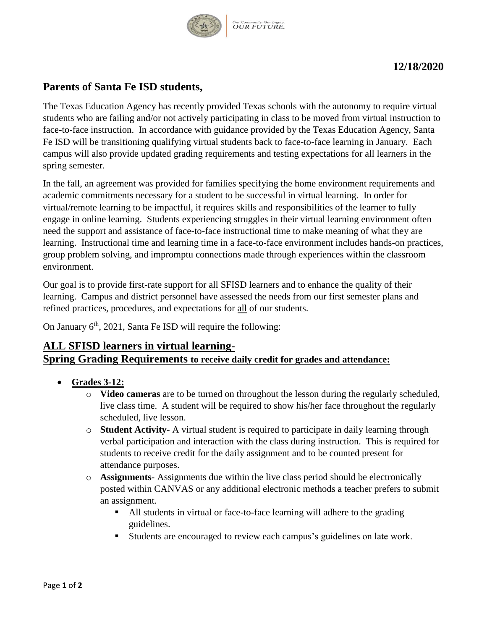

## **12/18/2020**

# **Parents of Santa Fe ISD students,**

The Texas Education Agency has recently provided Texas schools with the autonomy to require virtual students who are failing and/or not actively participating in class to be moved from virtual instruction to face-to-face instruction. In accordance with guidance provided by the Texas Education Agency, Santa Fe ISD will be transitioning qualifying virtual students back to face-to-face learning in January. Each campus will also provide updated grading requirements and testing expectations for all learners in the spring semester.

In the fall, an agreement was provided for families specifying the home environment requirements and academic commitments necessary for a student to be successful in virtual learning. In order for virtual/remote learning to be impactful, it requires skills and responsibilities of the learner to fully engage in online learning. Students experiencing struggles in their virtual learning environment often need the support and assistance of face-to-face instructional time to make meaning of what they are learning. Instructional time and learning time in a face-to-face environment includes hands-on practices, group problem solving, and impromptu connections made through experiences within the classroom environment.

Our goal is to provide first-rate support for all SFISD learners and to enhance the quality of their learning. Campus and district personnel have assessed the needs from our first semester plans and refined practices, procedures, and expectations for all of our students.

On January  $6<sup>th</sup>$ , 2021, Santa Fe ISD will require the following:

## **ALL SFISD learners in virtual learning-Spring Grading Requirements to receive daily credit for grades and attendance:**

- **Grades 3-12:**
	- o **Video cameras** are to be turned on throughout the lesson during the regularly scheduled, live class time. A student will be required to show his/her face throughout the regularly scheduled, live lesson.
	- o **Student Activity** A virtual student is required to participate in daily learning through verbal participation and interaction with the class during instruction. This is required for students to receive credit for the daily assignment and to be counted present for attendance purposes.
	- o **Assignments** Assignments due within the live class period should be electronically posted within CANVAS or any additional electronic methods a teacher prefers to submit an assignment.
		- All students in virtual or face-to-face learning will adhere to the grading guidelines.
		- Students are encouraged to review each campus's guidelines on late work.